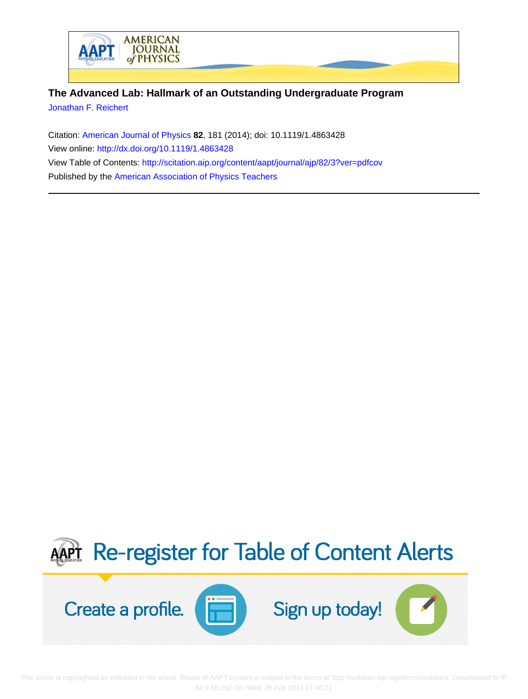

**The Advanced Lab: Hallmark of an Outstanding Undergraduate Program**

[Jonathan F. Reichert](http://scitation.aip.org/search?value1=Jonathan+F.+Reichert&option1=author)

Citation: [American Journal of Physics](http://scitation.aip.org/content/aapt/journal/ajp?ver=pdfcov) **82**, 181 (2014); doi: 10.1119/1.4863428 View online: <http://dx.doi.org/10.1119/1.4863428> View Table of Contents: <http://scitation.aip.org/content/aapt/journal/ajp/82/3?ver=pdfcov> Published by the [American Association of Physics Teachers](http://scitation.aip.org/content/aapt?ver=pdfcov)



 This article is copyrighted as indicated in the article. Reuse of AAPT content is subject to the terms at: http://scitation.aip.org/termsconditions. Downloaded to IP: 64.9.56.252 On: Wed, 26 Feb 2014 17:40:21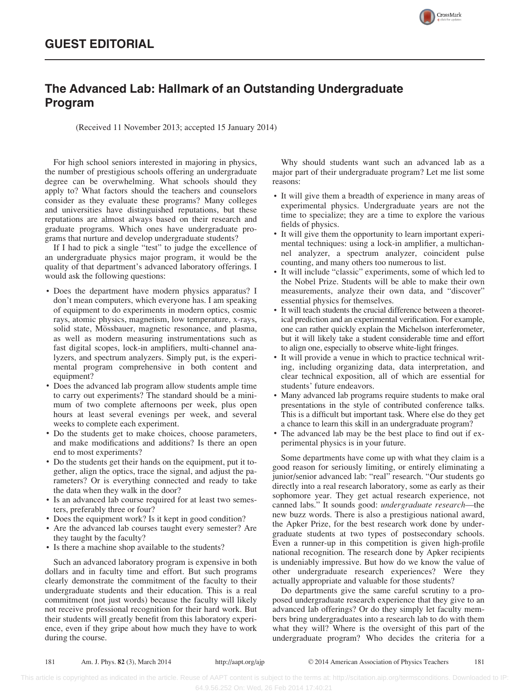

## The Advanced Lab: Hallmark of an Outstanding Undergraduate Program

(Received 11 November 2013; accepted 15 January 2014)

For high school seniors interested in majoring in physics, the number of prestigious schools offering an undergraduate degree can be overwhelming. What schools should they apply to? What factors should the teachers and counselors consider as they evaluate these programs? Many colleges and universities have distinguished reputations, but these reputations are almost always based on their research and graduate programs. Which ones have undergraduate programs that nurture and develop undergraduate students?

If I had to pick a single "test" to judge the excellence of an undergraduate physics major program, it would be the quality of that department's advanced laboratory offerings. I would ask the following questions:

- Does the department have modern physics apparatus? I don't mean computers, which everyone has. I am speaking of equipment to do experiments in modern optics, cosmic rays, atomic physics, magnetism, low temperature, x-rays, solid state, Mössbauer, magnetic resonance, and plasma, as well as modern measuring instrumentations such as fast digital scopes, lock-in amplifiers, multi-channel analyzers, and spectrum analyzers. Simply put, is the experimental program comprehensive in both content and equipment?
- Does the advanced lab program allow students ample time to carry out experiments? The standard should be a minimum of two complete afternoons per week, plus open hours at least several evenings per week, and several weeks to complete each experiment.
- Do the students get to make choices, choose parameters, and make modifications and additions? Is there an open end to most experiments?
- Do the students get their hands on the equipment, put it together, align the optics, trace the signal, and adjust the parameters? Or is everything connected and ready to take the data when they walk in the door?
- Is an advanced lab course required for at least two semesters, preferably three or four?
- Does the equipment work? Is it kept in good condition?
- Are the advanced lab courses taught every semester? Are they taught by the faculty?
- Is there a machine shop available to the students?

Such an advanced laboratory program is expensive in both dollars and in faculty time and effort. But such programs clearly demonstrate the commitment of the faculty to their undergraduate students and their education. This is a real commitment (not just words) because the faculty will likely not receive professional recognition for their hard work. But their students will greatly benefit from this laboratory experience, even if they gripe about how much they have to work during the course.

Why should students want such an advanced lab as a major part of their undergraduate program? Let me list some reasons:

- It will give them a breadth of experience in many areas of experimental physics. Undergraduate years are not the time to specialize; they are a time to explore the various fields of physics.
- It will give them the opportunity to learn important experimental techniques: using a lock-in amplifier, a multichannel analyzer, a spectrum analyzer, coincident pulse counting, and many others too numerous to list.
- It will include "classic" experiments, some of which led to the Nobel Prize. Students will be able to make their own measurements, analyze their own data, and "discover" essential physics for themselves.
- It will teach students the crucial difference between a theoretical prediction and an experimental verification. For example, one can rather quickly explain the Michelson interferometer, but it will likely take a student considerable time and effort to align one, especially to observe white-light fringes.
- It will provide a venue in which to practice technical writing, including organizing data, data interpretation, and clear technical exposition, all of which are essential for students' future endeavors.
- Many advanced lab programs require students to make oral presentations in the style of contributed conference talks. This is a difficult but important task. Where else do they get a chance to learn this skill in an undergraduate program?
- The advanced lab may be the best place to find out if experimental physics is in your future.

Some departments have come up with what they claim is a good reason for seriously limiting, or entirely eliminating a junior/senior advanced lab: "real" research. "Our students go directly into a real research laboratory, some as early as their sophomore year. They get actual research experience, not canned labs." It sounds good: undergraduate research—the new buzz words. There is also a prestigious national award, the Apker Prize, for the best research work done by undergraduate students at two types of postsecondary schools. Even a runner-up in this competition is given high-profile national recognition. The research done by Apker recipients is undeniably impressive. But how do we know the value of other undergraduate research experiences? Were they actually appropriate and valuable for those students?

Do departments give the same careful scrutiny to a proposed undergraduate research experience that they give to an advanced lab offerings? Or do they simply let faculty members bring undergraduates into a research lab to do with them what they will? Where is the oversight of this part of the undergraduate program? Who decides the criteria for a